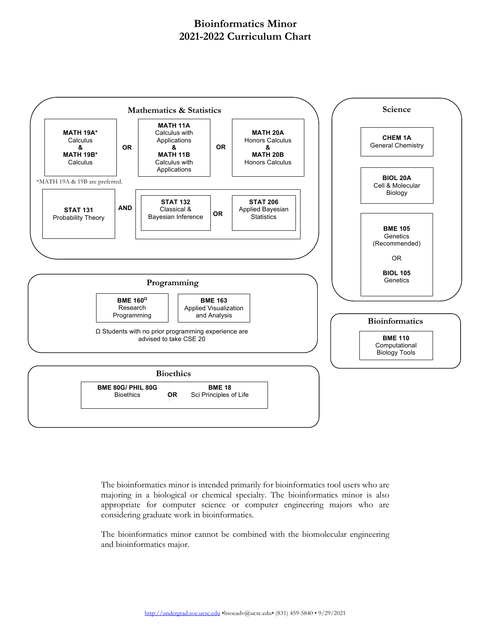## **Bioinformatics Minor 2021-2022 Curriculum Chart**



The bioinformatics minor is intended primarily for bioinformatics tool users who are majoring in a biological or chemical specialty. The bioinformatics minor is also appropriate for computer science or computer engineering majors who are considering graduate work in bioinformatics.

The bioinformatics minor cannot be combined with the biomolecular engineering and bioinformatics major.